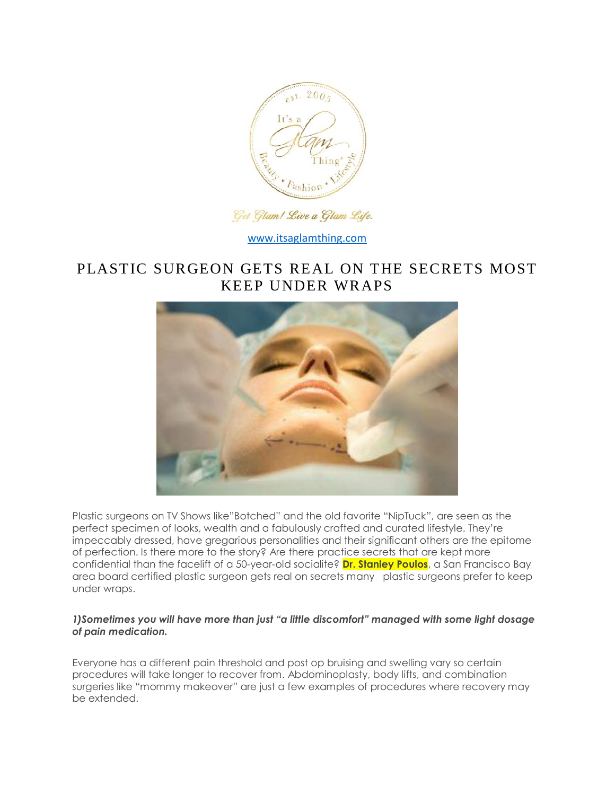

## Get Glam! Live a Glam Life.

[www.itsaglamthing.com](http://www.itsaglamthing.com/)

# PLASTIC SURGEON GETS REAL ON THE SECRETS MOST KEEP UNDER WRAPS



Plastic surgeons on TV Shows like"Botched" and the old favorite "NipTuck", are seen as the perfect specimen of looks, wealth and a fabulously crafted and curated lifestyle. They're impeccably dressed, have gregarious personalities and their significant others are the epitome of perfection. Is there more to the story? Are there practice secrets that are kept more confidential than the facelift of a 50-year-old socialite? **Dr. Stanley Poulos**, a San Francisco Bay area board certified plastic surgeon gets real on secrets many plastic surgeons prefer to keep under wraps.

#### *1)Sometimes you will have more than just "a little discomfort" managed with some light dosage of pain medication.*

Everyone has a different pain threshold and post op bruising and swelling vary so certain procedures will take longer to recover from. Abdominoplasty, body lifts, and combination surgeries like "mommy makeover" are just a few examples of procedures where recovery may be extended.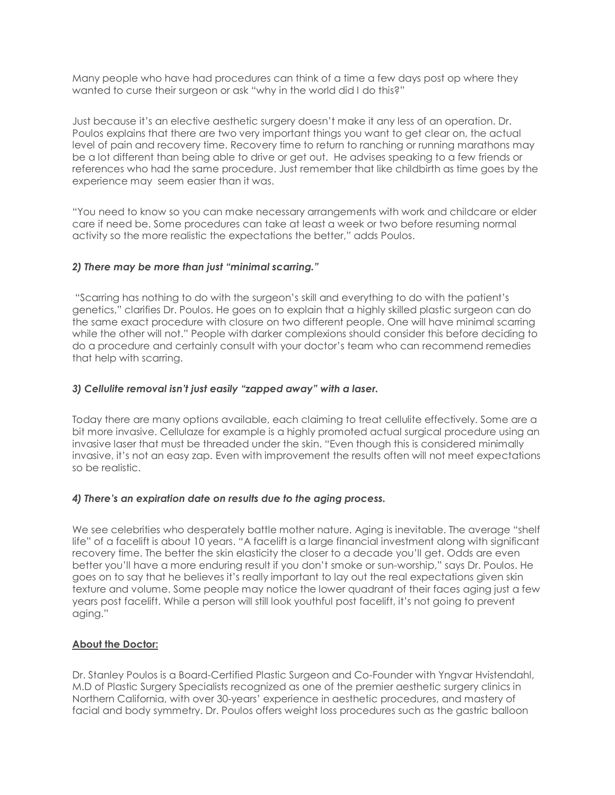Many people who have had procedures can think of a time a few days post op where they wanted to curse their surgeon or ask "why in the world did I do this?"

Just because it's an elective aesthetic surgery doesn't make it any less of an operation. Dr. Poulos explains that there are two very important things you want to get clear on, the actual level of pain and recovery time. Recovery time to return to ranching or running marathons may be a lot different than being able to drive or get out. He advises speaking to a few friends or references who had the same procedure. Just remember that like childbirth as time goes by the experience may seem easier than it was.

"You need to know so you can make necessary arrangements with work and childcare or elder care if need be. Some procedures can take at least a week or two before resuming normal activity so the more realistic the expectations the better," adds Poulos.

#### *2) There may be more than just "minimal scarring."*

"Scarring has nothing to do with the surgeon's skill and everything to do with the patient's genetics," clarifies Dr. Poulos. He goes on to explain that a highly skilled plastic surgeon can do the same exact procedure with closure on two different people. One will have minimal scarring while the other will not." People with darker complexions should consider this before deciding to do a procedure and certainly consult with your doctor's team who can recommend remedies that help with scarring.

#### *3) Cellulite removal isn't just easily "zapped away" with a laser.*

Today there are many options available, each claiming to treat cellulite effectively. Some are a bit more invasive. Cellulaze for example is a highly promoted actual surgical procedure using an invasive laser that must be threaded under the skin. "Even though this is considered minimally invasive, it's not an easy zap. Even with improvement the results often will not meet expectations so be realistic.

#### *4) There's an expiration date on results due to the aging process.*

We see celebrities who desperately battle mother nature. Aging is inevitable. The average "shelf life" of a facelift is about 10 years. "A facelift is a large financial investment along with significant recovery time. The better the skin elasticity the closer to a decade you'll get. Odds are even better you'll have a more enduring result if you don't smoke or sun-worship," says Dr. Poulos. He goes on to say that he believes it's really important to lay out the real expectations given skin texture and volume. Some people may notice the lower quadrant of their faces aging just a few years post facelift. While a person will still look youthful post facelift, it's not going to prevent aging."

### **About the Doctor:**

Dr. Stanley Poulos is a Board-Certified Plastic Surgeon and Co-Founder with Yngvar Hvistendahl, M.D of Plastic Surgery Specialists recognized as one of the premier aesthetic surgery clinics in Northern California, with over 30-years' experience in aesthetic procedures, and mastery of facial and body symmetry. Dr. Poulos offers weight loss procedures such as the gastric balloon